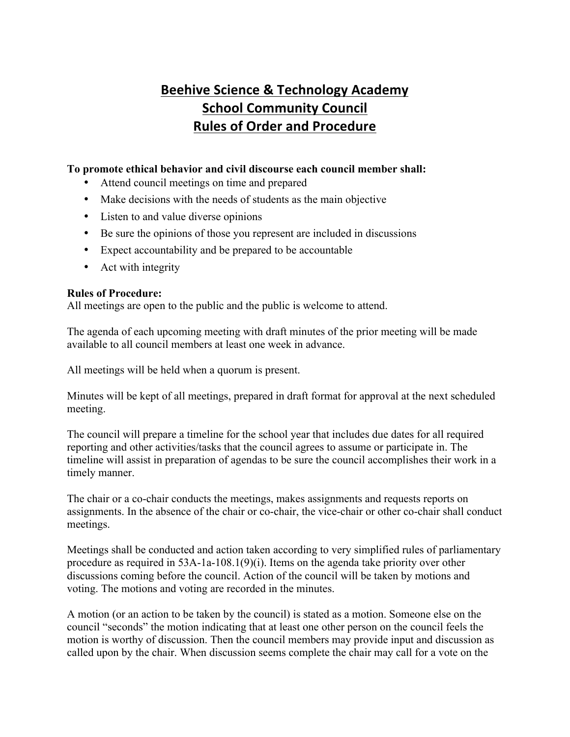## **Beehive Science & Technology Academy School Community Council Rules of Order and Procedure**

## **To promote ethical behavior and civil discourse each council member shall:**

- Attend council meetings on time and prepared
- Make decisions with the needs of students as the main objective
- Listen to and value diverse opinions
- Be sure the opinions of those you represent are included in discussions
- Expect accountability and be prepared to be accountable
- Act with integrity

## **Rules of Procedure:**

All meetings are open to the public and the public is welcome to attend.

The agenda of each upcoming meeting with draft minutes of the prior meeting will be made available to all council members at least one week in advance.

All meetings will be held when a quorum is present.

Minutes will be kept of all meetings, prepared in draft format for approval at the next scheduled meeting.

The council will prepare a timeline for the school year that includes due dates for all required reporting and other activities/tasks that the council agrees to assume or participate in. The timeline will assist in preparation of agendas to be sure the council accomplishes their work in a timely manner.

The chair or a co-chair conducts the meetings, makes assignments and requests reports on assignments. In the absence of the chair or co-chair, the vice-chair or other co-chair shall conduct meetings.

Meetings shall be conducted and action taken according to very simplified rules of parliamentary procedure as required in 53A-1a-108.1(9)(i). Items on the agenda take priority over other discussions coming before the council. Action of the council will be taken by motions and voting. The motions and voting are recorded in the minutes.

A motion (or an action to be taken by the council) is stated as a motion. Someone else on the council "seconds" the motion indicating that at least one other person on the council feels the motion is worthy of discussion. Then the council members may provide input and discussion as called upon by the chair. When discussion seems complete the chair may call for a vote on the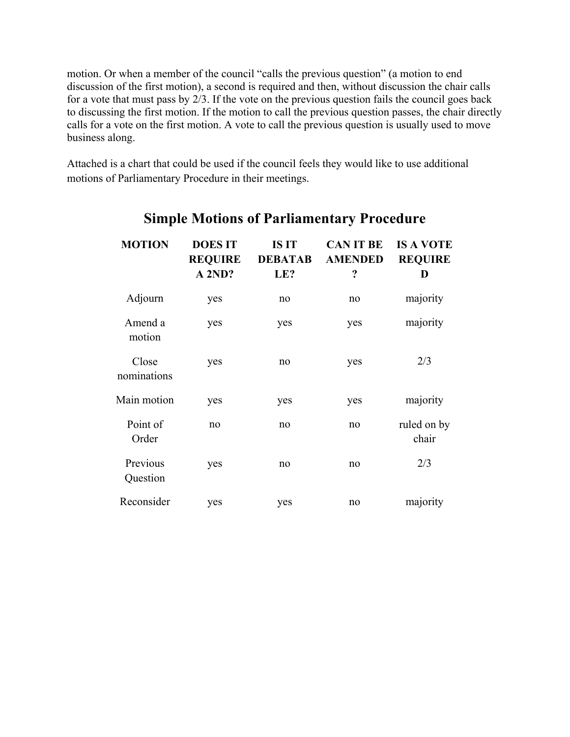motion. Or when a member of the council "calls the previous question" (a motion to end discussion of the first motion), a second is required and then, without discussion the chair calls for a vote that must pass by 2/3. If the vote on the previous question fails the council goes back to discussing the first motion. If the motion to call the previous question passes, the chair directly calls for a vote on the first motion. A vote to call the previous question is usually used to move business along.

Attached is a chart that could be used if the council feels they would like to use additional motions of Parliamentary Procedure in their meetings.

| <b>MOTION</b>        | <b>DOESIT</b><br><b>REQUIRE</b><br>A 2ND? | <b>ISIT</b><br><b>DEBATAB</b><br>LE? | <b>CAN IT BE</b><br><b>AMENDED</b><br>? | <b>IS A VOTE</b><br><b>REQUIRE</b><br>D |
|----------------------|-------------------------------------------|--------------------------------------|-----------------------------------------|-----------------------------------------|
| Adjourn              | yes                                       | no                                   | no                                      | majority                                |
| Amend a<br>motion    | yes                                       | yes                                  | yes                                     | majority                                |
| Close<br>nominations | yes                                       | no                                   | yes                                     | 2/3                                     |
| Main motion          | yes                                       | yes                                  | yes                                     | majority                                |
| Point of<br>Order    | no                                        | no                                   | no                                      | ruled on by<br>chair                    |
| Previous<br>Question | yes                                       | no                                   | no                                      | 2/3                                     |
| Reconsider           | yes                                       | yes                                  | no                                      | majority                                |

## **Simple Motions of Parliamentary Procedure**